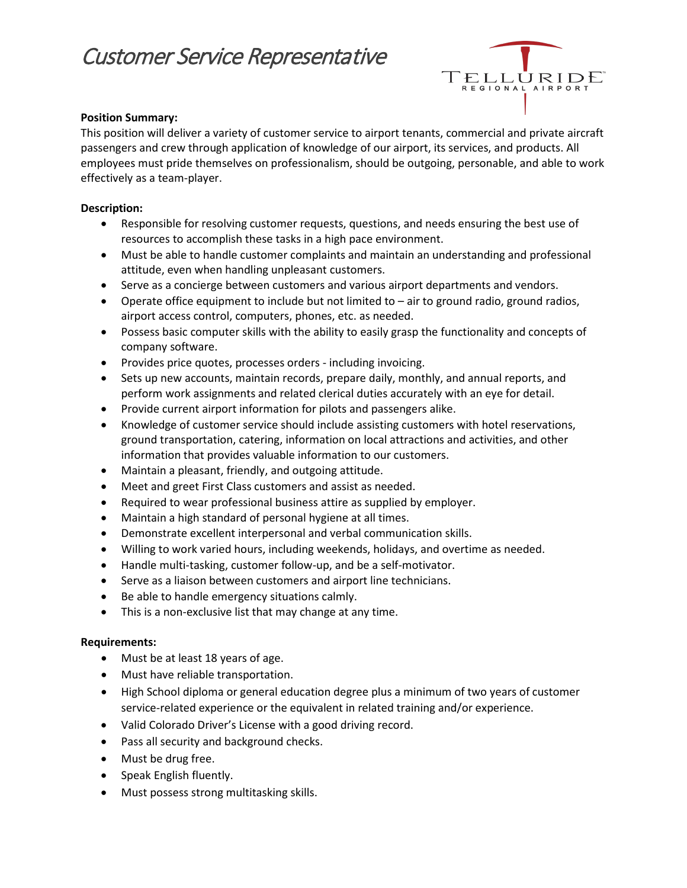# Customer Service Representative



#### **Position Summary:**

This position will deliver a variety of customer service to airport tenants, commercial and private aircraft passengers and crew through application of knowledge of our airport, its services, and products. All employees must pride themselves on professionalism, should be outgoing, personable, and able to work effectively as a team-player.

#### **Description:**

- Responsible for resolving customer requests, questions, and needs ensuring the best use of resources to accomplish these tasks in a high pace environment.
- Must be able to handle customer complaints and maintain an understanding and professional attitude, even when handling unpleasant customers.
- Serve as a concierge between customers and various airport departments and vendors.
- Operate office equipment to include but not limited to air to ground radio, ground radios, airport access control, computers, phones, etc. as needed.
- Possess basic computer skills with the ability to easily grasp the functionality and concepts of company software.
- Provides price quotes, processes orders including invoicing.
- Sets up new accounts, maintain records, prepare daily, monthly, and annual reports, and perform work assignments and related clerical duties accurately with an eye for detail.
- Provide current airport information for pilots and passengers alike.
- Knowledge of customer service should include assisting customers with hotel reservations, ground transportation, catering, information on local attractions and activities, and other information that provides valuable information to our customers.
- Maintain a pleasant, friendly, and outgoing attitude.
- Meet and greet First Class customers and assist as needed.
- Required to wear professional business attire as supplied by employer.
- Maintain a high standard of personal hygiene at all times.
- Demonstrate excellent interpersonal and verbal communication skills.
- Willing to work varied hours, including weekends, holidays, and overtime as needed.
- Handle multi-tasking, customer follow-up, and be a self-motivator.
- Serve as a liaison between customers and airport line technicians.
- Be able to handle emergency situations calmly.
- This is a non-exclusive list that may change at any time.

#### **Requirements:**

- Must be at least 18 years of age.
- Must have reliable transportation.
- High School diploma or general education degree plus a minimum of two years of customer service-related experience or the equivalent in related training and/or experience.
- Valid Colorado Driver's License with a good driving record.
- Pass all security and background checks.
- Must be drug free.
- Speak English fluently.
- Must possess strong multitasking skills.